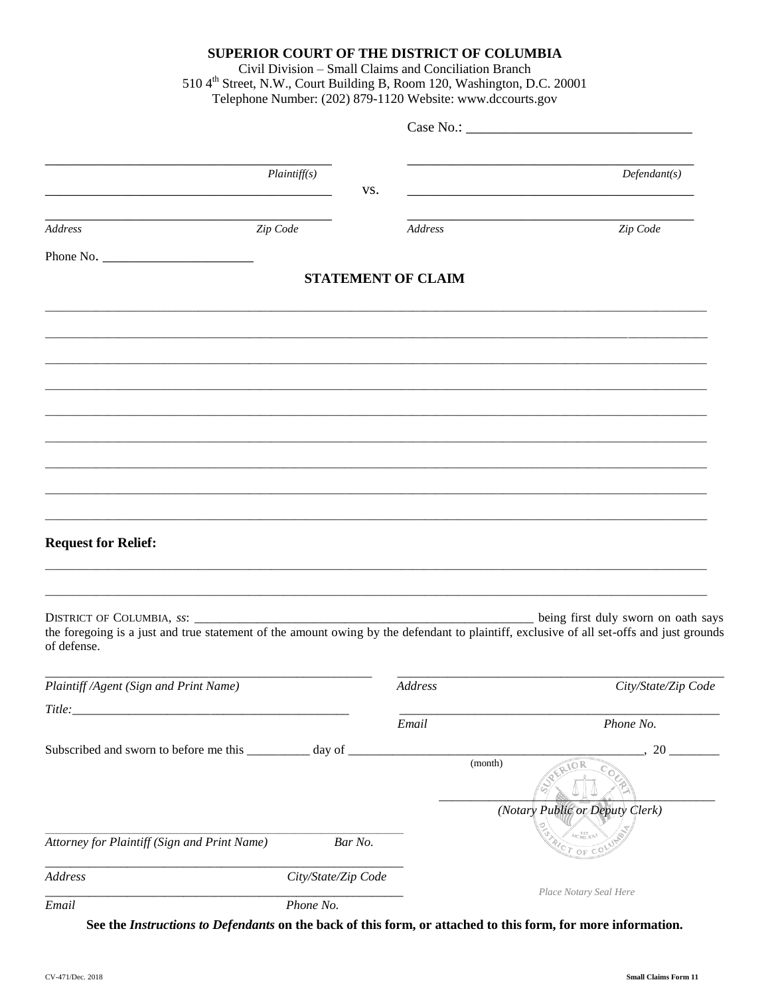### SUPERIOR COURT OF THE DISTRICT OF COLUMBIA

Civil Division - Small Claims and Conciliation Branch 510 4<sup>th</sup> Street, N.W., Court Building B, Room 120, Washington, D.C. 20001 Telephone Number: (202) 879-1120 Website: www.dccourts.gov

|                                                           | Plaintiff(s)        | VS.     |                           | Defendant(s)                                                                                                                                                                    |
|-----------------------------------------------------------|---------------------|---------|---------------------------|---------------------------------------------------------------------------------------------------------------------------------------------------------------------------------|
| Address                                                   | Zip Code            |         | Address                   | Zip Code                                                                                                                                                                        |
| Phone No.                                                 |                     |         |                           |                                                                                                                                                                                 |
|                                                           |                     |         | <b>STATEMENT OF CLAIM</b> |                                                                                                                                                                                 |
|                                                           |                     |         |                           |                                                                                                                                                                                 |
|                                                           |                     |         |                           |                                                                                                                                                                                 |
|                                                           |                     |         |                           |                                                                                                                                                                                 |
|                                                           |                     |         |                           |                                                                                                                                                                                 |
|                                                           |                     |         |                           |                                                                                                                                                                                 |
|                                                           |                     |         |                           |                                                                                                                                                                                 |
| <b>Request for Relief:</b>                                |                     |         |                           |                                                                                                                                                                                 |
| of defense.                                               |                     |         |                           | being first duly sworn on oath says<br>the foregoing is a just and true statement of the amount owing by the defendant to plaintiff, exclusive of all set-offs and just grounds |
| Plaintiff /Agent (Sign and Print Name)                    |                     |         | Address                   | City/State/Zip Code                                                                                                                                                             |
| <i>Title:</i>                                             |                     |         |                           |                                                                                                                                                                                 |
|                                                           |                     |         | Email                     | Phone No.                                                                                                                                                                       |
| Subscribed and sworn to before me this _________ day of _ |                     |         | (month)                   | 20<br>10R                                                                                                                                                                       |
|                                                           |                     |         |                           | (Notary Public or Deputy Clerk)                                                                                                                                                 |
| Attorney for Plaintiff (Sign and Print Name)              |                     | Bar No. |                           | $CT$ OF                                                                                                                                                                         |
| Address                                                   | City/State/Zip Code |         |                           | Place Notary Seal Here                                                                                                                                                          |
| Email                                                     | Phone No.           |         |                           |                                                                                                                                                                                 |

See the Instructions to Defendants on the back of this form, or attached to this form, for more information.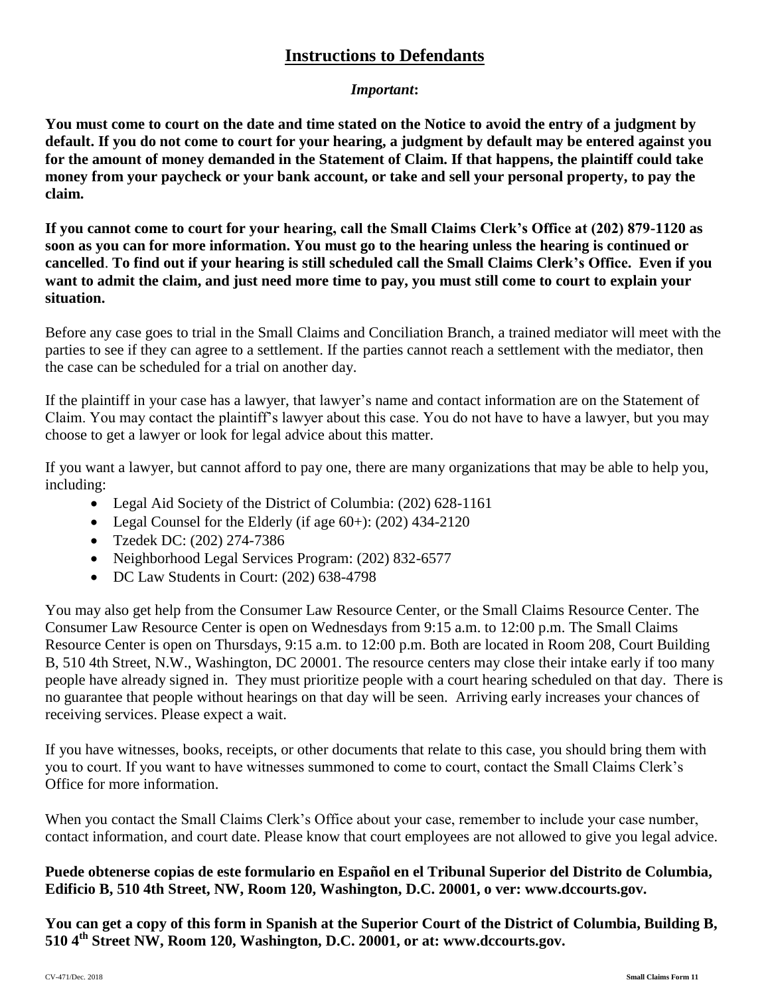# **Instructions to Defendants**

## *Important***:**

**You must come to court on the date and time stated on the Notice to avoid the entry of a judgment by default. If you do not come to court for your hearing, a judgment by default may be entered against you for the amount of money demanded in the Statement of Claim. If that happens, the plaintiff could take money from your paycheck or your bank account, or take and sell your personal property, to pay the claim.** 

**If you cannot come to court for your hearing, call the Small Claims Clerk's Office at (202) 879-1120 as soon as you can for more information. You must go to the hearing unless the hearing is continued or cancelled**. **To find out if your hearing is still scheduled call the Small Claims Clerk's Office. Even if you want to admit the claim, and just need more time to pay, you must still come to court to explain your situation.**

Before any case goes to trial in the Small Claims and Conciliation Branch, a trained mediator will meet with the parties to see if they can agree to a settlement. If the parties cannot reach a settlement with the mediator, then the case can be scheduled for a trial on another day.

If the plaintiff in your case has a lawyer, that lawyer's name and contact information are on the Statement of Claim. You may contact the plaintiff's lawyer about this case. You do not have to have a lawyer, but you may choose to get a lawyer or look for legal advice about this matter.

If you want a lawyer, but cannot afford to pay one, there are many organizations that may be able to help you, including:

- Legal Aid Society of the District of Columbia: (202) 628-1161
- Legal Counsel for the Elderly (if age  $60+$ ): (202) 434-2120
- Tzedek DC: (202) 274-7386
- Neighborhood Legal Services Program: (202) 832-6577
- DC Law Students in Court: (202) 638-4798

You may also get help from the Consumer Law Resource Center, or the Small Claims Resource Center. The Consumer Law Resource Center is open on Wednesdays from 9:15 a.m. to 12:00 p.m. The Small Claims Resource Center is open on Thursdays, 9:15 a.m. to 12:00 p.m. Both are located in Room 208, Court Building B, 510 4th Street, N.W., Washington, DC 20001. The resource centers may close their intake early if too many people have already signed in. They must prioritize people with a court hearing scheduled on that day. There is no guarantee that people without hearings on that day will be seen. Arriving early increases your chances of receiving services. Please expect a wait.

If you have witnesses, books, receipts, or other documents that relate to this case, you should bring them with you to court. If you want to have witnesses summoned to come to court, contact the Small Claims Clerk's Office for more information.

When you contact the Small Claims Clerk's Office about your case, remember to include your case number, contact information, and court date. Please know that court employees are not allowed to give you legal advice.

## **Puede obtenerse copias de este formulario en Español en el Tribunal Superior del Distrito de Columbia, Edificio B, 510 4th Street, NW, Room 120, Washington, D.C. 20001, o ver: www.dccourts.gov.**

**You can get a copy of this form in Spanish at the Superior Court of the District of Columbia, Building B, 510 4 th Street NW, Room 120, Washington, D.C. 20001, or at: www.dccourts.gov.**